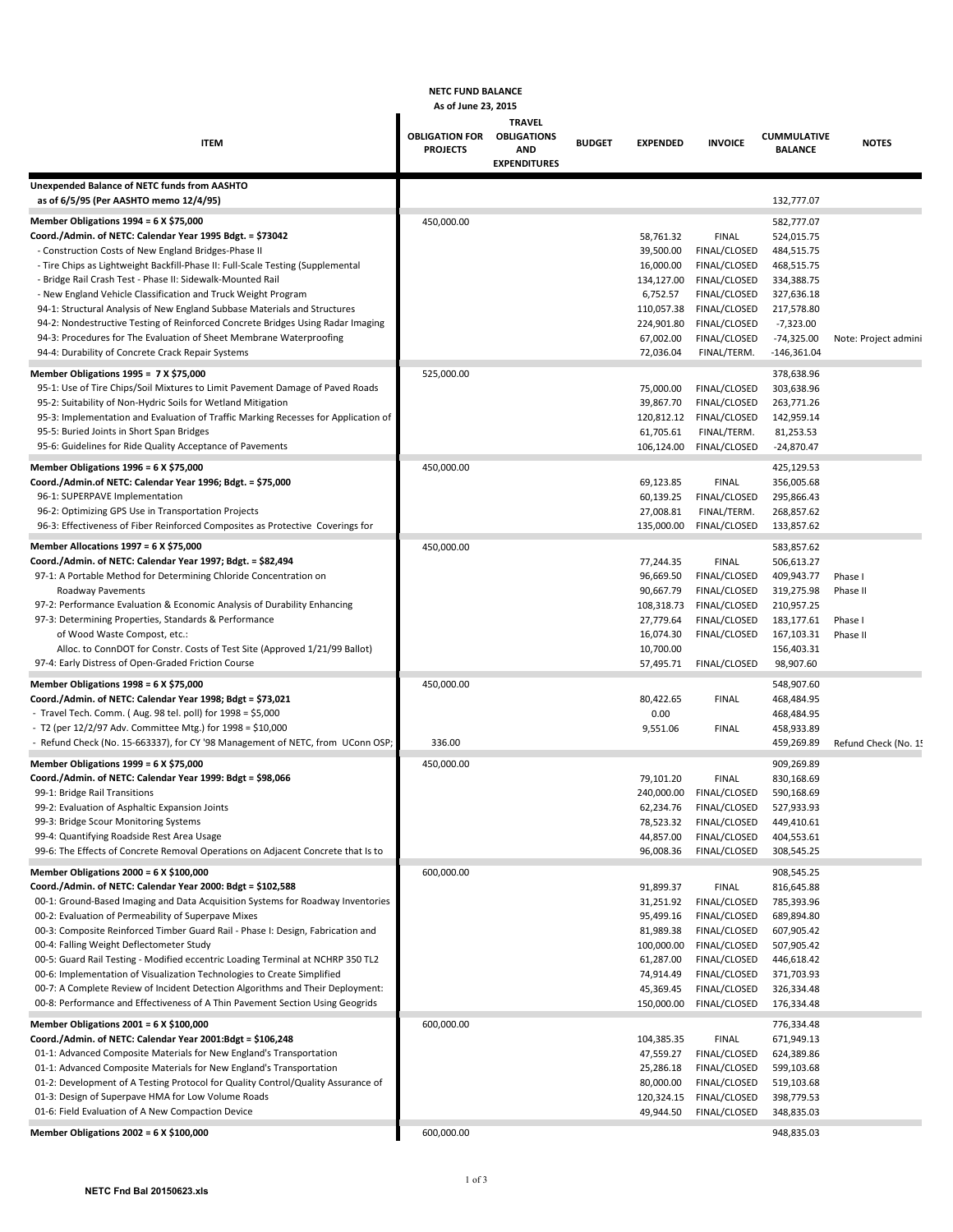### **NETC FUND BALANCE**

#### **As of June 23, 2015**

|                                                                                                                                        | 83 VI JUILE 49. 41                                   |                                                    |               |                         |                              |                                      |                      |
|----------------------------------------------------------------------------------------------------------------------------------------|------------------------------------------------------|----------------------------------------------------|---------------|-------------------------|------------------------------|--------------------------------------|----------------------|
| <b>ITEM</b>                                                                                                                            | <b>OBLIGATION FOR OBLIGATIONS</b><br><b>PROJECTS</b> | <b>TRAVEL</b><br><b>AND</b><br><b>EXPENDITURES</b> | <b>BUDGET</b> | <b>EXPENDED</b>         | <b>INVOICE</b>               | <b>CUMMULATIVE</b><br><b>BALANCE</b> | <b>NOTES</b>         |
|                                                                                                                                        |                                                      |                                                    |               |                         |                              |                                      |                      |
| Unexpended Balance of NETC funds from AASHTO<br>as of 6/5/95 (Per AASHTO memo 12/4/95)                                                 |                                                      |                                                    |               |                         |                              | 132,777.07                           |                      |
| <b>Member Obligations 1994 = 6 X \$75,000</b>                                                                                          | 450,000.00                                           |                                                    |               |                         |                              | 582,777.07                           |                      |
| Coord./Admin. of NETC: Calendar Year 1995 Bdgt. = \$73042                                                                              |                                                      |                                                    |               | 58,761.32               | <b>FINAL</b>                 | 524,015.75                           |                      |
| - Construction Costs of New England Bridges-Phase II                                                                                   |                                                      |                                                    |               | 39,500.00               | FINAL/CLOSED                 | 484,515.75                           |                      |
| - Tire Chips as Lightweight Backfill-Phase II: Full-Scale Testing (Supplemental                                                        |                                                      |                                                    |               | 16,000.00               | FINAL/CLOSED                 | 468,515.75                           |                      |
| - Bridge Rail Crash Test - Phase II: Sidewalk-Mounted Rail                                                                             |                                                      |                                                    |               | 134,127.00              | FINAL/CLOSED                 | 334,388.75                           |                      |
| - New England Vehicle Classification and Truck Weight Program                                                                          |                                                      |                                                    |               | 6,752.57                | FINAL/CLOSED                 | 327,636.18                           |                      |
| 94-1: Structural Analysis of New England Subbase Materials and Structures                                                              |                                                      |                                                    |               | 110,057.38              | FINAL/CLOSED                 | 217,578.80                           |                      |
| 94-2: Nondestructive Testing of Reinforced Concrete Bridges Using Radar Imaging                                                        |                                                      |                                                    |               | 224,901.80              | FINAL/CLOSED                 | $-7,323.00$                          |                      |
| 94-3: Procedures for The Evaluation of Sheet Membrane Waterproofing                                                                    |                                                      |                                                    |               | 67,002.00               | FINAL/CLOSED                 | -74,325.00                           | Note: Project admini |
| 94-4: Durability of Concrete Crack Repair Systems                                                                                      |                                                      |                                                    |               | 72,036.04               | FINAL/TERM.                  | $-146,361.04$                        |                      |
| Member Obligations 1995 = 7 X \$75,000                                                                                                 | 525,000.00                                           |                                                    |               |                         |                              | 378,638.96                           |                      |
| 95-1: Use of Tire Chips/Soil Mixtures to Limit Pavement Damage of Paved Roads                                                          |                                                      |                                                    |               | 75,000.00               | FINAL/CLOSED                 | 303,638.96                           |                      |
| 95-2: Suitability of Non-Hydric Soils for Wetland Mitigation                                                                           |                                                      |                                                    |               | 39,867.70               | FINAL/CLOSED                 | 263,771.26                           |                      |
| 95-3: Implementation and Evaluation of Traffic Marking Recesses for Application of                                                     |                                                      |                                                    |               | 120,812.12              | FINAL/CLOSED                 | 142,959.14                           |                      |
| 95-5: Buried Joints in Short Span Bridges                                                                                              |                                                      |                                                    |               | 61,705.61               | FINAL/TERM.                  | 81,253.53                            |                      |
| 95-6: Guidelines for Ride Quality Acceptance of Pavements                                                                              |                                                      |                                                    |               | 106,124.00              | FINAL/CLOSED                 | $-24,870.47$                         |                      |
| Member Obligations 1996 = 6 X \$75,000                                                                                                 | 450,000.00                                           |                                                    |               |                         |                              | 425,129.53                           |                      |
| Coord./Admin.of NETC: Calendar Year 1996; Bdgt. = \$75,000                                                                             |                                                      |                                                    |               | 69,123.85               | <b>FINAL</b>                 | 356,005.68                           |                      |
| 96-1: SUPERPAVE Implementation                                                                                                         |                                                      |                                                    |               | 60,139.25               | FINAL/CLOSED                 | 295,866.43                           |                      |
| 96-2: Optimizing GPS Use in Transportation Projects                                                                                    |                                                      |                                                    |               | 27,008.81               | FINAL/TERM.                  | 268,857.62                           |                      |
| 96-3: Effectiveness of Fiber Reinforced Composites as Protective Coverings for                                                         |                                                      |                                                    |               | 135,000.00              | FINAL/CLOSED                 | 133,857.62                           |                      |
| <b>Member Allocations 1997 = 6 X \$75,000</b>                                                                                          | 450,000.00                                           |                                                    |               |                         |                              | 583,857.62                           |                      |
| Coord./Admin. of NETC: Calendar Year 1997; Bdgt. = \$82,494                                                                            |                                                      |                                                    |               | 77,244.35               | <b>FINAL</b>                 | 506,613.27                           |                      |
| 97-1: A Portable Method for Determining Chloride Concentration on                                                                      |                                                      |                                                    |               | 96,669.50               | FINAL/CLOSED                 | 409,943.77                           | Phase I              |
| Roadway Pavements                                                                                                                      |                                                      |                                                    |               | 90,667.79               | FINAL/CLOSED                 | 319,275.98                           | Phase II             |
| 97-2: Performance Evaluation & Economic Analysis of Durability Enhancing                                                               |                                                      |                                                    |               | 108,318.73              | FINAL/CLOSED                 | 210,957.25                           |                      |
| 97-3: Determining Properties, Standards & Performance<br>of Wood Waste Compost, etc.:                                                  |                                                      |                                                    |               | 27,779.64<br>16,074.30  | FINAL/CLOSED<br>FINAL/CLOSED | 183,177.61<br>167,103.31             | Phase I<br>Phase II  |
| Alloc. to ConnDOT for Constr. Costs of Test Site (Approved 1/21/99 Ballot)                                                             |                                                      |                                                    |               | 10,700.00               |                              | 156,403.31                           |                      |
| 97-4: Early Distress of Open-Graded Friction Course                                                                                    |                                                      |                                                    |               | 57,495.71               | FINAL/CLOSED                 | 98,907.60                            |                      |
|                                                                                                                                        |                                                      |                                                    |               |                         |                              |                                      |                      |
| <b>Member Obligations 1998 = 6 X \$75,000</b><br>Coord./Admin. of NETC: Calendar Year 1998; Bdgt = \$73,021                            | 450,000.00                                           |                                                    |               |                         |                              | 548,907.60                           |                      |
| - Travel Tech. Comm. (Aug. 98 tel. poll) for 1998 = \$5,000                                                                            |                                                      |                                                    |               | 80,422.65<br>0.00       | <b>FINAL</b>                 | 468,484.95<br>468,484.95             |                      |
| - T2 (per $12/2/97$ Adv. Committee Mtg.) for $1998 = $10,000$                                                                          |                                                      |                                                    |               | 9,551.06                | <b>FINAL</b>                 | 458,933.89                           |                      |
| - Refund Check (No. 15-663337), for CY '98 Management of NETC, from UConn OSP;                                                         | 336.00                                               |                                                    |               |                         |                              | 459,269.89                           | Refund Check (No. 15 |
|                                                                                                                                        |                                                      |                                                    |               |                         |                              |                                      |                      |
| Member Obligations 1999 = 6 X \$75,000<br>Coord./Admin. of NETC: Calendar Year 1999: Bdgt = \$98,066                                   | 450,000.00                                           |                                                    |               | 79,101.20               | <b>FINAL</b>                 | 909,269.89<br>830,168.69             |                      |
| 99-1: Bridge Rail Transitions                                                                                                          |                                                      |                                                    |               |                         | 240,000.00 FINAL/CLOSED      | 590,168.69                           |                      |
| 99-2: Evaluation of Asphaltic Expansion Joints                                                                                         |                                                      |                                                    |               | 62,234.76               | FINAL/CLOSED                 | 527,933.93                           |                      |
| 99-3: Bridge Scour Monitoring Systems                                                                                                  |                                                      |                                                    |               | 78,523.32               | FINAL/CLOSED                 | 449,410.61                           |                      |
| 99-4: Quantifying Roadside Rest Area Usage                                                                                             |                                                      |                                                    |               | 44,857.00               | FINAL/CLOSED                 | 404,553.61                           |                      |
| 99-6: The Effects of Concrete Removal Operations on Adjacent Concrete that Is to                                                       |                                                      |                                                    |               | 96,008.36               | FINAL/CLOSED                 | 308,545.25                           |                      |
| Member Obligations 2000 = 6 X \$100,000                                                                                                | 600,000.00                                           |                                                    |               |                         |                              | 908,545.25                           |                      |
| Coord./Admin. of NETC: Calendar Year 2000: Bdgt = \$102,588                                                                            |                                                      |                                                    |               | 91,899.37               | FINAL                        | 816,645.88                           |                      |
| 00-1: Ground-Based Imaging and Data Acquisition Systems for Roadway Inventories                                                        |                                                      |                                                    |               | 31,251.92               | FINAL/CLOSED                 | 785,393.96                           |                      |
| 00-2: Evaluation of Permeability of Superpave Mixes                                                                                    |                                                      |                                                    |               | 95,499.16               | FINAL/CLOSED                 | 689,894.80                           |                      |
| 00-3: Composite Reinforced Timber Guard Rail - Phase I: Design, Fabrication and                                                        |                                                      |                                                    |               | 81,989.38               | FINAL/CLOSED                 | 607,905.42                           |                      |
| 00-4: Falling Weight Deflectometer Study                                                                                               |                                                      |                                                    |               | 100,000.00              | FINAL/CLOSED                 | 507,905.42                           |                      |
| 00-5: Guard Rail Testing - Modified eccentric Loading Terminal at NCHRP 350 TL2                                                        |                                                      |                                                    |               | 61,287.00               | FINAL/CLOSED                 | 446,618.42                           |                      |
| 00-6: Implementation of Visualization Technologies to Create Simplified                                                                |                                                      |                                                    |               | 74,914.49               | FINAL/CLOSED                 | 371,703.93                           |                      |
| 00-7: A Complete Review of Incident Detection Algorithms and Their Deployment:                                                         |                                                      |                                                    |               | 45,369.45               | FINAL/CLOSED                 | 326,334.48                           |                      |
| 00-8: Performance and Effectiveness of A Thin Pavement Section Using Geogrids                                                          |                                                      |                                                    |               | 150,000.00              | FINAL/CLOSED                 | 176,334.48                           |                      |
| Member Obligations 2001 = 6 X \$100,000                                                                                                | 600,000.00                                           |                                                    |               |                         |                              | 776,334.48                           |                      |
| Coord./Admin. of NETC: Calendar Year 2001:Bdgt = \$106,248                                                                             |                                                      |                                                    |               | 104,385.35              | <b>FINAL</b>                 | 671,949.13                           |                      |
| 01-1: Advanced Composite Materials for New England's Transportation                                                                    |                                                      |                                                    |               | 47,559.27               | FINAL/CLOSED                 | 624,389.86                           |                      |
| 01-1: Advanced Composite Materials for New England's Transportation                                                                    |                                                      |                                                    |               | 25,286.18               | FINAL/CLOSED                 | 599,103.68                           |                      |
| 01-2: Development of A Testing Protocol for Quality Control/Quality Assurance of<br>01-3: Design of Superpave HMA for Low Volume Roads |                                                      |                                                    |               | 80,000.00<br>120,324.15 | FINAL/CLOSED<br>FINAL/CLOSED | 519,103.68<br>398,779.53             |                      |
| 01-6: Field Evaluation of A New Compaction Device                                                                                      |                                                      |                                                    |               | 49,944.50               | FINAL/CLOSED                 | 348,835.03                           |                      |
|                                                                                                                                        |                                                      |                                                    |               |                         |                              |                                      |                      |
| Member Obligations 2002 = 6 X \$100,000                                                                                                | 600,000.00                                           |                                                    |               |                         |                              | 948,835.03                           |                      |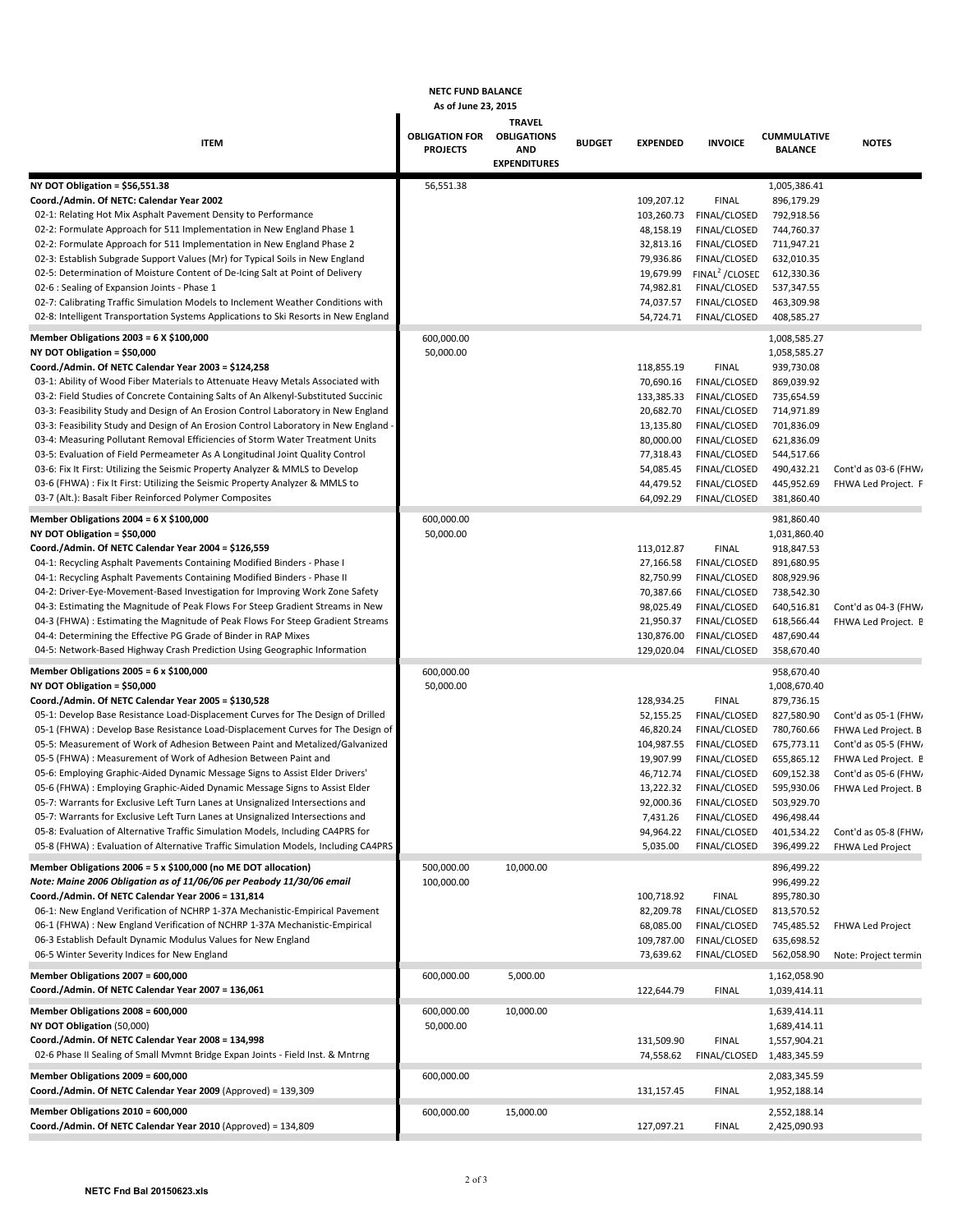## **NETC FUND BALANCE**

## **As of June 23, 2015**

|                                                                                                                                                                  | AS 01 JUNE 23, 2013                      |                                                   |               |                        |                              |                                      |                      |
|------------------------------------------------------------------------------------------------------------------------------------------------------------------|------------------------------------------|---------------------------------------------------|---------------|------------------------|------------------------------|--------------------------------------|----------------------|
| <b>ITEM</b>                                                                                                                                                      | <b>OBLIGATION FOR</b><br><b>PROJECTS</b> | <b>TRAVEL</b><br><b>OBLIGATIONS</b><br><b>AND</b> | <b>BUDGET</b> | <b>EXPENDED</b>        | <b>INVOICE</b>               | <b>CUMMULATIVE</b><br><b>BALANCE</b> | <b>NOTES</b>         |
|                                                                                                                                                                  |                                          | <b>EXPENDITURES</b>                               |               |                        |                              |                                      |                      |
| NY DOT Obligation = $$56,551.38$                                                                                                                                 | 56,551.38                                |                                                   |               |                        |                              | 1,005,386.41                         |                      |
| Coord./Admin. Of NETC: Calendar Year 2002                                                                                                                        |                                          |                                                   |               | 109,207.12             | <b>FINAL</b>                 | 896,179.29                           |                      |
| 02-1: Relating Hot Mix Asphalt Pavement Density to Performance                                                                                                   |                                          |                                                   |               | 103,260.73             | FINAL/CLOSED                 | 792,918.56                           |                      |
| 02-2: Formulate Approach for 511 Implementation in New England Phase 1                                                                                           |                                          |                                                   |               | 48,158.19              | FINAL/CLOSED                 | 744,760.37                           |                      |
| 02-2: Formulate Approach for 511 Implementation in New England Phase 2                                                                                           |                                          |                                                   |               | 32,813.16              | FINAL/CLOSED                 | 711,947.21                           |                      |
| 02-3: Establish Subgrade Support Values (Mr) for Typical Soils in New England                                                                                    |                                          |                                                   |               | 79,936.86              | FINAL/CLOSED                 | 632,010.35                           |                      |
| 02-5: Determination of Moisture Content of De-Icing Salt at Point of Delivery                                                                                    |                                          |                                                   |               | 19,679.99              | FINAL <sup>2</sup> / CLOSED  | 612,330.36                           |                      |
| 02-6 : Sealing of Expansion Joints - Phase 1                                                                                                                     |                                          |                                                   |               | 74,982.81              | FINAL/CLOSED                 | 537,347.55                           |                      |
| 02-7: Calibrating Traffic Simulation Models to Inclement Weather Conditions with                                                                                 |                                          |                                                   |               | 74,037.57              | FINAL/CLOSED                 | 463,309.98                           |                      |
| 02-8: Intelligent Transportation Systems Applications to Ski Resorts in New England                                                                              |                                          |                                                   |               | 54,724.71              | FINAL/CLOSED                 | 408,585.27                           |                      |
| Member Obligations 2003 = 6 X \$100,000<br>NY DOT Obligation = \$50,000                                                                                          | 600,000.00                               |                                                   |               |                        |                              | 1,008,585.27                         |                      |
| Coord./Admin. Of NETC Calendar Year 2003 = \$124,258                                                                                                             | 50,000.00                                |                                                   |               | 118,855.19             | <b>FINAL</b>                 | 1,058,585.27<br>939,730.08           |                      |
| 03-1: Ability of Wood Fiber Materials to Attenuate Heavy Metals Associated with                                                                                  |                                          |                                                   |               | 70,690.16              | FINAL/CLOSED                 | 869,039.92                           |                      |
| 03-2: Field Studies of Concrete Containing Salts of An Alkenyl-Substituted Succinic                                                                              |                                          |                                                   |               | 133,385.33             | FINAL/CLOSED                 | 735,654.59                           |                      |
| 03-3: Feasibility Study and Design of An Erosion Control Laboratory in New England                                                                               |                                          |                                                   |               | 20,682.70              | FINAL/CLOSED                 | 714,971.89                           |                      |
| 03-3: Feasibility Study and Design of An Erosion Control Laboratory in New England -                                                                             |                                          |                                                   |               | 13,135.80              | FINAL/CLOSED                 | 701,836.09                           |                      |
| 03-4: Measuring Pollutant Removal Efficiencies of Storm Water Treatment Units                                                                                    |                                          |                                                   |               | 80,000.00              | FINAL/CLOSED                 | 621,836.09                           |                      |
| 03-5: Evaluation of Field Permeameter As A Longitudinal Joint Quality Control                                                                                    |                                          |                                                   |               | 77,318.43              | FINAL/CLOSED                 | 544,517.66                           |                      |
| 03-6: Fix It First: Utilizing the Seismic Property Analyzer & MMLS to Develop                                                                                    |                                          |                                                   |               | 54,085.45              | FINAL/CLOSED                 | 490,432.21                           | Cont'd as 03-6 (FHW) |
| 03-6 (FHWA) : Fix It First: Utilizing the Seismic Property Analyzer & MMLS to                                                                                    |                                          |                                                   |               | 44,479.52              | FINAL/CLOSED                 | 445,952.69                           | FHWA Led Project. F  |
| 03-7 (Alt.): Basalt Fiber Reinforced Polymer Composites                                                                                                          |                                          |                                                   |               | 64,092.29              | FINAL/CLOSED                 | 381,860.40                           |                      |
| Member Obligations 2004 = $6 \times $100,000$                                                                                                                    | 600,000.00                               |                                                   |               |                        |                              | 981,860.40                           |                      |
| NY DOT Obligation = \$50,000                                                                                                                                     | 50,000.00                                |                                                   |               |                        |                              | 1,031,860.40                         |                      |
| Coord./Admin. Of NETC Calendar Year 2004 = \$126,559                                                                                                             |                                          |                                                   |               | 113,012.87             | <b>FINAL</b>                 | 918,847.53                           |                      |
| 04-1: Recycling Asphalt Pavements Containing Modified Binders - Phase I                                                                                          |                                          |                                                   |               | 27,166.58              | FINAL/CLOSED                 | 891,680.95                           |                      |
| 04-1: Recycling Asphalt Pavements Containing Modified Binders - Phase II                                                                                         |                                          |                                                   |               | 82,750.99              | FINAL/CLOSED                 | 808,929.96                           |                      |
| 04-2: Driver-Eye-Movement-Based Investigation for Improving Work Zone Safety                                                                                     |                                          |                                                   |               | 70,387.66              | FINAL/CLOSED                 | 738,542.30                           |                      |
| 04-3: Estimating the Magnitude of Peak Flows For Steep Gradient Streams in New                                                                                   |                                          |                                                   |               | 98,025.49<br>21,950.37 | FINAL/CLOSED<br>FINAL/CLOSED | 640,516.81<br>618,566.44             | Cont'd as 04-3 (FHW/ |
| 04-3 (FHWA) : Estimating the Magnitude of Peak Flows For Steep Gradient Streams<br>04-4: Determining the Effective PG Grade of Binder in RAP Mixes               |                                          |                                                   |               | 130,876.00             | FINAL/CLOSED                 | 487,690.44                           | FHWA Led Project. E  |
| 04-5: Network-Based Highway Crash Prediction Using Geographic Information                                                                                        |                                          |                                                   |               | 129,020.04             | FINAL/CLOSED                 | 358,670.40                           |                      |
| Member Obligations 2005 = 6 x \$100,000                                                                                                                          | 600,000.00                               |                                                   |               |                        |                              | 958,670.40                           |                      |
| NY DOT Obligation = \$50,000                                                                                                                                     | 50,000.00                                |                                                   |               |                        |                              | 1,008,670.40                         |                      |
| Coord./Admin. Of NETC Calendar Year 2005 = \$130,528                                                                                                             |                                          |                                                   |               | 128,934.25             | <b>FINAL</b>                 | 879,736.15                           |                      |
| 05-1: Develop Base Resistance Load-Displacement Curves for The Design of Drilled                                                                                 |                                          |                                                   |               | 52,155.25              | FINAL/CLOSED                 | 827,580.90                           | Cont'd as 05-1 (FHW/ |
| 05-1 (FHWA) : Develop Base Resistance Load-Displacement Curves for The Design of                                                                                 |                                          |                                                   |               | 46,820.24              | FINAL/CLOSED                 | 780,760.66                           | FHWA Led Project. B  |
| 05-5: Measurement of Work of Adhesion Between Paint and Metalized/Galvanized                                                                                     |                                          |                                                   |               | 104,987.55             | FINAL/CLOSED                 | 675,773.11                           | Cont'd as 05-5 (FHW, |
| 05-5 (FHWA) : Measurement of Work of Adhesion Between Paint and                                                                                                  |                                          |                                                   |               | 19,907.99              | FINAL/CLOSED                 | 655,865.12                           | FHWA Led Project. E  |
| 05-6: Employing Graphic-Aided Dynamic Message Signs to Assist Elder Drivers'                                                                                     |                                          |                                                   |               | 46,712.74              | FINAL/CLOSED                 | 609,152.38                           | Cont'd as 05-6 (FHW) |
| 05-6 (FHWA) : Employing Graphic-Aided Dynamic Message Signs to Assist Elder                                                                                      |                                          |                                                   |               | 13,222.32              | FINAL/CLOSED                 | 595,930.06                           | FHWA Led Project. B  |
| 05-7: Warrants for Exclusive Left Turn Lanes at Unsignalized Intersections and<br>05-7: Warrants for Exclusive Left Turn Lanes at Unsignalized Intersections and |                                          |                                                   |               | 92,000.36              | FINAL/CLOSED<br>FINAL/CLOSED | 503,929.70                           |                      |
| 05-8: Evaluation of Alternative Traffic Simulation Models, Including CA4PRS for                                                                                  |                                          |                                                   |               | 7,431.26<br>94,964.22  | FINAL/CLOSED                 | 496,498.44<br>401,534.22             | Cont'd as 05-8 (FHW, |
| 05-8 (FHWA) : Evaluation of Alternative Traffic Simulation Models, Including CA4PRS                                                                              |                                          |                                                   |               | 5,035.00               | FINAL/CLOSED                 | 396,499.22                           | FHWA Led Project     |
| Member Obligations 2006 = 5 x \$100,000 (no ME DOT allocation)                                                                                                   | 500,000.00                               |                                                   |               |                        |                              | 896,499.22                           |                      |
| Note: Maine 2006 Obligation as of 11/06/06 per Peabody 11/30/06 email                                                                                            | 100,000.00                               | 10,000.00                                         |               |                        |                              | 996,499.22                           |                      |
| Coord./Admin. Of NETC Calendar Year 2006 = 131,814                                                                                                               |                                          |                                                   |               | 100,718.92             | <b>FINAL</b>                 | 895,780.30                           |                      |
| 06-1: New England Verification of NCHRP 1-37A Mechanistic-Empirical Pavement                                                                                     |                                          |                                                   |               | 82,209.78              | FINAL/CLOSED                 | 813,570.52                           |                      |
| 06-1 (FHWA) : New England Verification of NCHRP 1-37A Mechanistic-Empirical                                                                                      |                                          |                                                   |               | 68,085.00              | FINAL/CLOSED                 | 745,485.52                           | FHWA Led Project     |
| 06-3 Establish Default Dynamic Modulus Values for New England                                                                                                    |                                          |                                                   |               | 109,787.00             | FINAL/CLOSED                 | 635,698.52                           |                      |
| 06-5 Winter Severity Indices for New England                                                                                                                     |                                          |                                                   |               | 73,639.62              | FINAL/CLOSED                 | 562,058.90                           | Note: Project termin |
| Member Obligations 2007 = 600,000                                                                                                                                | 600,000.00                               | 5,000.00                                          |               |                        |                              | 1,162,058.90                         |                      |
| Coord./Admin. Of NETC Calendar Year 2007 = 136,061                                                                                                               |                                          |                                                   |               | 122,644.79             | <b>FINAL</b>                 | 1,039,414.11                         |                      |
| Member Obligations 2008 = 600,000                                                                                                                                | 600,000.00                               | 10,000.00                                         |               |                        |                              | 1,639,414.11                         |                      |
| NY DOT Obligation (50,000)                                                                                                                                       | 50,000.00                                |                                                   |               |                        |                              | 1,689,414.11                         |                      |
| Coord./Admin. Of NETC Calendar Year 2008 = 134,998                                                                                                               |                                          |                                                   |               | 131,509.90             | <b>FINAL</b>                 | 1,557,904.21                         |                      |
| 02-6 Phase II Sealing of Small Mvmnt Bridge Expan Joints - Field Inst. & Mntrng                                                                                  |                                          |                                                   |               | 74,558.62              | FINAL/CLOSED                 | 1,483,345.59                         |                      |
| Member Obligations 2009 = 600,000                                                                                                                                | 600,000.00                               |                                                   |               |                        |                              | 2,083,345.59                         |                      |
| Coord./Admin. Of NETC Calendar Year 2009 (Approved) = 139,309                                                                                                    |                                          |                                                   |               | 131,157.45             | <b>FINAL</b>                 | 1,952,188.14                         |                      |
| Member Obligations 2010 = 600,000                                                                                                                                | 600,000.00                               | 15,000.00                                         |               |                        |                              | 2,552,188.14                         |                      |
| Coord./Admin. Of NETC Calendar Year 2010 (Approved) = 134,809                                                                                                    |                                          |                                                   |               | 127,097.21             | <b>FINAL</b>                 | 2,425,090.93                         |                      |